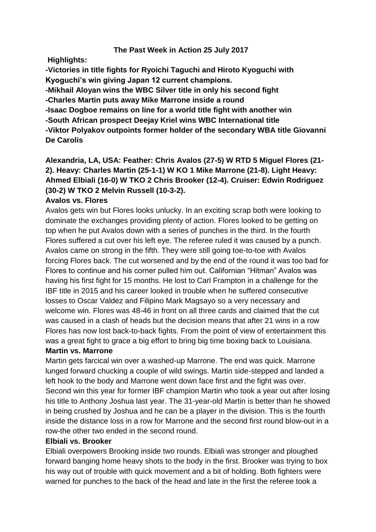## **The Past Week in Action 25 July 2017**

**Highlights:**

**-Victories in title fights for Ryoichi Taguchi and Hiroto Kyoguchi with Kyoguchi's win giving Japan 12 current champions.**

**-Mikhail Aloyan wins the WBC Silver title in only his second fight -Charles Martin puts away Mike Marrone inside a round**

**-Isaac Dogboe remains on line for a world title fight with another win**

**-South African prospect Deejay Kriel wins WBC International title**

**-Viktor Polyakov outpoints former holder of the secondary WBA title Giovanni De Carolis**

**Alexandria, LA, USA: Feather: Chris Avalos (27-5) W RTD 5 Miguel Flores (21- 2). Heavy: Charles Martin (25-1-1) W KO 1 Mike Marrone (21-8). Light Heavy: Ahmed Elbiali (16-0) W TKO 2 Chris Brooker (12-4). Cruiser: Edwin Rodriguez (30-2) W TKO 2 Melvin Russell (10-3-2).** 

#### **Avalos vs. Flores**

Avalos gets win but Flores looks unlucky. In an exciting scrap both were looking to dominate the exchanges providing plenty of action. Flores looked to be getting on top when he put Avalos down with a series of punches in the third. In the fourth Flores suffered a cut over his left eye. The referee ruled it was caused by a punch. Avalos came on strong in the fifth. They were still going toe-to-toe with Avalos forcing Flores back. The cut worsened and by the end of the round it was too bad for Flores to continue and his corner pulled him out. Californian "Hitman" Avalos was having his first fight for 15 months. He lost to Carl Frampton in a challenge for the IBF title in 2015 and his career looked in trouble when he suffered consecutive losses to Oscar Valdez and Filipino Mark Magsayo so a very necessary and welcome win. Flores was 48-46 in front on all three cards and claimed that the cut was caused in a clash of heads but the decision means that after 21 wins in a row Flores has now lost back-to-back fights. From the point of view of entertainment this was a great fight to grace a big effort to bring big time boxing back to Louisiana.

# **Martin vs. Marrone**

Martin gets farcical win over a washed-up Marrone. The end was quick. Marrone lunged forward chucking a couple of wild swings. Martin side-stepped and landed a left hook to the body and Marrone went down face first and the fight was over. Second win this year for former IBF champion Martin who took a year out after losing his title to Anthony Joshua last year. The 31-year-old Martin is better than he showed in being crushed by Joshua and he can be a player in the division. This is the fourth inside the distance loss in a row for Marrone and the second first round blow-out in a row-the other two ended in the second round.

#### **Elbiali vs. Brooker**

Elbiali overpowers Brooking inside two rounds. Elbiali was stronger and ploughed forward banging home heavy shots to the body in the first. Brooker was trying to box his way out of trouble with quick movement and a bit of holding. Both fighters were warned for punches to the back of the head and late in the first the referee took a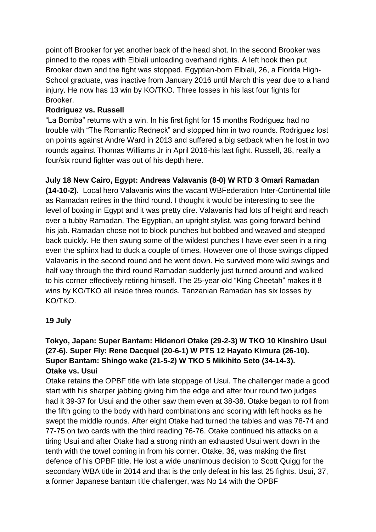point off Brooker for yet another back of the head shot. In the second Brooker was pinned to the ropes with Elbiali unloading overhand rights. A left hook then put Brooker down and the fight was stopped. Egyptian-born Elbiali, 26, a Florida High-School graduate, was inactive from January 2016 until March this year due to a hand injury. He now has 13 win by KO/TKO. Three losses in his last four fights for Brooker.

# **Rodriguez vs. Russell**

"La Bomba" returns with a win. In his first fight for 15 months Rodriguez had no trouble with "The Romantic Redneck" and stopped him in two rounds. Rodriguez lost on points against Andre Ward in 2013 and suffered a big setback when he lost in two rounds against Thomas Williams Jr in April 2016-his last fight. Russell, 38, really a four/six round fighter was out of his depth here.

# **July 18 New Cairo, Egypt: Andreas Valavanis (8-0) W RTD 3 Omari Ramadan**

**(14-10-2).** Local hero Valavanis wins the vacant WBFederation Inter-Continental title as Ramadan retires in the third round. I thought it would be interesting to see the level of boxing in Egypt and it was pretty dire. Valavanis had lots of height and reach over a tubby Ramadan. The Egyptian, an upright stylist, was going forward behind his jab. Ramadan chose not to block punches but bobbed and weaved and stepped back quickly. He then swung some of the wildest punches I have ever seen in a ring even the sphinx had to duck a couple of times. However one of those swings clipped Valavanis in the second round and he went down. He survived more wild swings and half way through the third round Ramadan suddenly just turned around and walked to his corner effectively retiring himself. The 25-year-old "King Cheetah" makes it 8 wins by KO/TKO all inside three rounds. Tanzanian Ramadan has six losses by KO/TKO.

## **19 July**

# **Tokyo, Japan: Super Bantam: Hidenori Otake (29-2-3) W TKO 10 Kinshiro Usui (27-6). Super Fly: Rene Dacquel (20-6-1) W PTS 12 Hayato Kimura (26-10). Super Bantam: Shingo wake (21-5-2) W TKO 5 Mikihito Seto (34-14-3). Otake vs. Usui**

Otake retains the OPBF title with late stoppage of Usui. The challenger made a good start with his sharper jabbing giving him the edge and after four round two judges had it 39-37 for Usui and the other saw them even at 38-38. Otake began to roll from the fifth going to the body with hard combinations and scoring with left hooks as he swept the middle rounds. After eight Otake had turned the tables and was 78-74 and 77-75 on two cards with the third reading 76-76. Otake continued his attacks on a tiring Usui and after Otake had a strong ninth an exhausted Usui went down in the tenth with the towel coming in from his corner. Otake, 36, was making the first defence of his OPBF title. He lost a wide unanimous decision to Scott Quigg for the secondary WBA title in 2014 and that is the only defeat in his last 25 fights. Usui, 37, a former Japanese bantam title challenger, was No 14 with the OPBF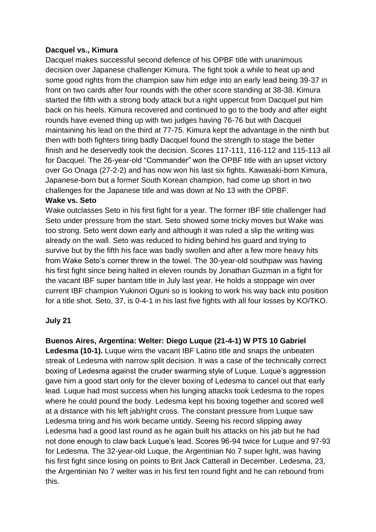### **Dacquel vs., Kimura**

Dacquel makes successful second defence of his OPBF title with unanimous decision over Japanese challenger Kimura. The fight took a while to heat up and some good rights from the champion saw him edge into an early lead being 39-37 in front on two cards after four rounds with the other score standing at 38-38. Kimura started the fifth with a strong body attack but a right uppercut from Dacquel put him back on his heels. Kimura recovered and continued to go to the body and after eight rounds have evened thing up with two judges having 76-76 but with Dacquel maintaining his lead on the third at 77-75. Kimura kept the advantage in the ninth but then with both fighters tiring badly Dacquel found the strength to stage the better finish and he deservedly took the decision. Scores 117-111, 116-112 and 115-113 all for Dacquel. The 26-year-old "Commander" won the OPBF title with an upset victory over Go Onaga (27-2-2) and has now won his last six fights. Kawasaki-born Kimura, Japanese-born but a former South Korean champion, had come up short in two challenges for the Japanese title and was down at No 13 with the OPBF.

#### **Wake vs. Seto**

Wake outclasses Seto in his first fight for a year. The former IBF title challenger had Seto under pressure from the start. Seto showed some tricky moves but Wake was too strong. Seto went down early and although it was ruled a slip the writing was already on the wall. Seto was reduced to hiding behind his guard and trying to survive but by the fifth his face was badly swollen and after a few more heavy hits from Wake Seto's corner threw in the towel. The 30-year-old southpaw was having his first fight since being halted in eleven rounds by Jonathan Guzman in a fight for the vacant IBF super bantam title in July last year. He holds a stoppage win over current IBF champion Yukinori Oguni so is looking to work his way back into position for a title shot. Seto, 37, is 0-4-1 in his last five fights with all four losses by KO/TKO.

#### **July 21**

## **Buenos Aires, Argentina: Welter: Diego Luque (21-4-1) W PTS 10 Gabriel**

**Ledesma (10-1).** Luque wins the vacant IBF Latino title and snaps the unbeaten streak of Ledesma with narrow split decision. It was a case of the technically correct boxing of Ledesma against the cruder swarming style of Luque. Luque's aggression gave him a good start only for the clever boxing of Ledesma to cancel out that early lead. Luque had most success when his lunging attacks took Ledesma to the ropes where he could pound the body. Ledesma kept his boxing together and scored well at a distance with his left jab/right cross. The constant pressure from Luque saw Ledesma tiring and his work became untidy. Seeing his record slipping away Ledesma had a good last round as he again built his attacks on his jab but he had not done enough to claw back Luque's lead. Scores 96-94 twice for Luque and 97-93 for Ledesma. The 32-year-old Luque, the Argentinian No 7 super light, was having his first fight since losing on points to Brit Jack Catterall in December. Ledesma, 23, the Argentinian No 7 welter was in his first ten round fight and he can rebound from this.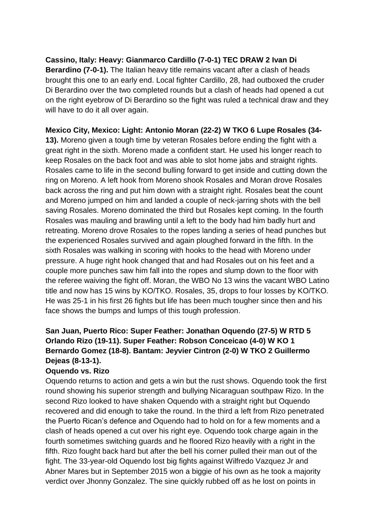**Cassino, Italy: Heavy: Gianmarco Cardillo (7-0-1) TEC DRAW 2 Ivan Di Berardino (7-0-1).** The Italian heavy title remains vacant after a clash of heads brought this one to an early end. Local fighter Cardillo, 28, had outboxed the cruder Di Berardino over the two completed rounds but a clash of heads had opened a cut on the right eyebrow of Di Berardino so the fight was ruled a technical draw and they will have to do it all over again.

### **Mexico City, Mexico: Light: Antonio Moran (22-2) W TKO 6 Lupe Rosales (34-**

**13).** Moreno given a tough time by veteran Rosales before ending the fight with a great right in the sixth. Moreno made a confident start. He used his longer reach to keep Rosales on the back foot and was able to slot home jabs and straight rights. Rosales came to life in the second bulling forward to get inside and cutting down the ring on Moreno. A left hook from Moreno shook Rosales and Moran drove Rosales back across the ring and put him down with a straight right. Rosales beat the count and Moreno jumped on him and landed a couple of neck-jarring shots with the bell saving Rosales. Moreno dominated the third but Rosales kept coming. In the fourth Rosales was mauling and brawling until a left to the body had him badly hurt and retreating. Moreno drove Rosales to the ropes landing a series of head punches but the experienced Rosales survived and again ploughed forward in the fifth. In the sixth Rosales was walking in scoring with hooks to the head with Moreno under pressure. A huge right hook changed that and had Rosales out on his feet and a couple more punches saw him fall into the ropes and slump down to the floor with the referee waiving the fight off. Moran, the WBO No 13 wins the vacant WBO Latino title and now has 15 wins by KO/TKO. Rosales, 35, drops to four losses by KO/TKO. He was 25-1 in his first 26 fights but life has been much tougher since then and his face shows the bumps and lumps of this tough profession.

# **San Juan, Puerto Rico: Super Feather: Jonathan Oquendo (27-5) W RTD 5 Orlando Rizo (19-11). Super Feather: Robson Conceicao (4-0) W KO 1 Bernardo Gomez (18-8). Bantam: Jeyvier Cintron (2-0) W TKO 2 Guillermo Dejeas (8-13-1).**

#### **Oquendo vs. Rizo**

Oquendo returns to action and gets a win but the rust shows. Oquendo took the first round showing his superior strength and bullying Nicaraguan southpaw Rizo. In the second Rizo looked to have shaken Oquendo with a straight right but Oquendo recovered and did enough to take the round. In the third a left from Rizo penetrated the Puerto Rican's defence and Oquendo had to hold on for a few moments and a clash of heads opened a cut over his right eye. Oquendo took charge again in the fourth sometimes switching guards and he floored Rizo heavily with a right in the fifth. Rizo fought back hard but after the bell his corner pulled their man out of the fight. The 33-year-old Oquendo lost big fights against Wilfredo Vazquez Jr and Abner Mares but in September 2015 won a biggie of his own as he took a majority verdict over Jhonny Gonzalez. The sine quickly rubbed off as he lost on points in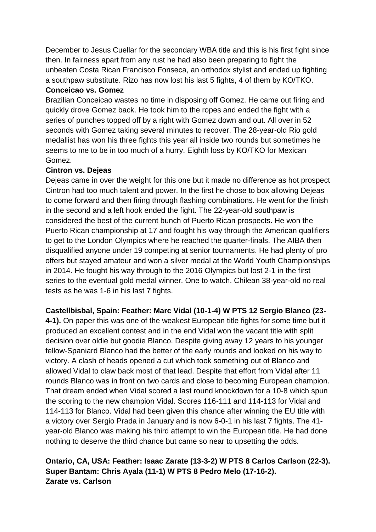December to Jesus Cuellar for the secondary WBA title and this is his first fight since then. In fairness apart from any rust he had also been preparing to fight the unbeaten Costa Rican Francisco Fonseca, an orthodox stylist and ended up fighting a southpaw substitute. Rizo has now lost his last 5 fights, 4 of them by KO/TKO. **Conceicao vs. Gomez**

Brazilian Conceicao wastes no time in disposing off Gomez. He came out firing and quickly drove Gomez back. He took him to the ropes and ended the fight with a series of punches topped off by a right with Gomez down and out. All over in 52 seconds with Gomez taking several minutes to recover. The 28-year-old Rio gold medallist has won his three fights this year all inside two rounds but sometimes he seems to me to be in too much of a hurry. Eighth loss by KO/TKO for Mexican Gomez.

## **Cintron vs. Dejeas**

Dejeas came in over the weight for this one but it made no difference as hot prospect Cintron had too much talent and power. In the first he chose to box allowing Dejeas to come forward and then firing through flashing combinations. He went for the finish in the second and a left hook ended the fight. The 22-year-old southpaw is considered the best of the current bunch of Puerto Rican prospects. He won the Puerto Rican championship at 17 and fought his way through the American qualifiers to get to the London Olympics where he reached the quarter-finals. The AIBA then disqualified anyone under 19 competing at senior tournaments. He had plenty of pro offers but stayed amateur and won a silver medal at the World Youth Championships in 2014. He fought his way through to the 2016 Olympics but lost 2-1 in the first series to the eventual gold medal winner. One to watch. Chilean 38-year-old no real tests as he was 1-6 in his last 7 fights.

## **Castellbisbal, Spain: Feather: Marc Vidal (10-1-4) W PTS 12 Sergio Blanco (23-**

**4-1).** On paper this was one of the weakest European title fights for some time but it produced an excellent contest and in the end Vidal won the vacant title with split decision over oldie but goodie Blanco. Despite giving away 12 years to his younger fellow-Spaniard Blanco had the better of the early rounds and looked on his way to victory. A clash of heads opened a cut which took something out of Blanco and allowed Vidal to claw back most of that lead. Despite that effort from Vidal after 11 rounds Blanco was in front on two cards and close to becoming European champion. That dream ended when Vidal scored a last round knockdown for a 10-8 which spun the scoring to the new champion Vidal. Scores 116-111 and 114-113 for Vidal and 114-113 for Blanco. Vidal had been given this chance after winning the EU title with a victory over Sergio Prada in January and is now 6-0-1 in his last 7 fights. The 41 year-old Blanco was making his third attempt to win the European title. He had done nothing to deserve the third chance but came so near to upsetting the odds.

# **Ontario, CA, USA: Feather: Isaac Zarate (13-3-2) W PTS 8 Carlos Carlson (22-3). Super Bantam: Chris Ayala (11-1) W PTS 8 Pedro Melo (17-16-2). Zarate vs. Carlson**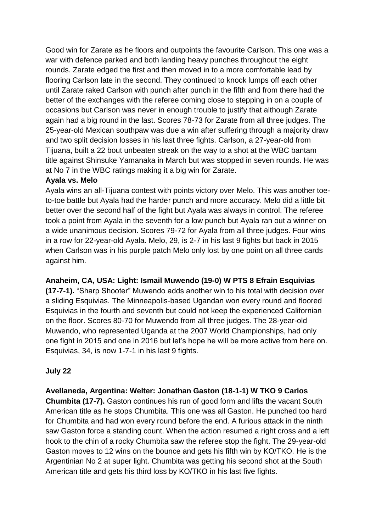Good win for Zarate as he floors and outpoints the favourite Carlson. This one was a war with defence parked and both landing heavy punches throughout the eight rounds. Zarate edged the first and then moved in to a more comfortable lead by flooring Carlson late in the second. They continued to knock lumps off each other until Zarate raked Carlson with punch after punch in the fifth and from there had the better of the exchanges with the referee coming close to stepping in on a couple of occasions but Carlson was never in enough trouble to justify that although Zarate again had a big round in the last. Scores 78-73 for Zarate from all three judges. The 25-year-old Mexican southpaw was due a win after suffering through a majority draw and two split decision losses in his last three fights. Carlson, a 27-year-old from Tijuana, built a 22 bout unbeaten streak on the way to a shot at the WBC bantam title against Shinsuke Yamanaka in March but was stopped in seven rounds. He was at No 7 in the WBC ratings making it a big win for Zarate.

#### **Ayala vs. Melo**

Ayala wins an all-Tijuana contest with points victory over Melo. This was another toeto-toe battle but Ayala had the harder punch and more accuracy. Melo did a little bit better over the second half of the fight but Ayala was always in control. The referee took a point from Ayala in the seventh for a low punch but Ayala ran out a winner on a wide unanimous decision. Scores 79-72 for Ayala from all three judges. Four wins in a row for 22-year-old Ayala. Melo, 29, is 2-7 in his last 9 fights but back in 2015 when Carlson was in his purple patch Melo only lost by one point on all three cards against him.

**Anaheim, CA, USA: Light: Ismail Muwendo (19-0) W PTS 8 Efrain Esquivias** 

**(17-7-1).** "Sharp Shooter" Muwendo adds another win to his total with decision over a sliding Esquivias. The Minneapolis-based Ugandan won every round and floored Esquivias in the fourth and seventh but could not keep the experienced Californian on the floor. Scores 80-70 for Muwendo from all three judges. The 28-year-old Muwendo, who represented Uganda at the 2007 World Championships, had only one fight in 2015 and one in 2016 but let's hope he will be more active from here on. Esquivias, 34, is now 1-7-1 in his last 9 fights.

## **July 22**

**Avellaneda, Argentina: Welter: Jonathan Gaston (18-1-1) W TKO 9 Carlos Chumbita (17-7).** Gaston continues his run of good form and lifts the vacant South American title as he stops Chumbita. This one was all Gaston. He punched too hard for Chumbita and had won every round before the end. A furious attack in the ninth saw Gaston force a standing count. When the action resumed a right cross and a left hook to the chin of a rocky Chumbita saw the referee stop the fight. The 29-year-old Gaston moves to 12 wins on the bounce and gets his fifth win by KO/TKO. He is the Argentinian No 2 at super light. Chumbita was getting his second shot at the South American title and gets his third loss by KO/TKO in his last five fights.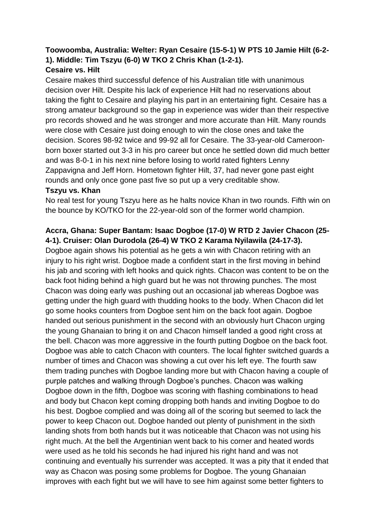#### **Toowoomba, Australia: Welter: Ryan Cesaire (15-5-1) W PTS 10 Jamie Hilt (6-2- 1). Middle: Tim Tszyu (6-0) W TKO 2 Chris Khan (1-2-1). Cesaire vs. Hilt**

Cesaire makes third successful defence of his Australian title with unanimous decision over Hilt. Despite his lack of experience Hilt had no reservations about taking the fight to Cesaire and playing his part in an entertaining fight. Cesaire has a strong amateur background so the gap in experience was wider than their respective pro records showed and he was stronger and more accurate than Hilt. Many rounds were close with Cesaire just doing enough to win the close ones and take the decision. Scores 98-92 twice and 99-92 all for Cesaire. The 33-year-old Cameroonborn boxer started out 3-3 in his pro career but once he settled down did much better and was 8-0-1 in his next nine before losing to world rated fighters Lenny Zappavigna and Jeff Horn. Hometown fighter Hilt, 37, had never gone past eight rounds and only once gone past five so put up a very creditable show.

#### **Tszyu vs. Khan**

No real test for young Tszyu here as he halts novice Khan in two rounds. Fifth win on the bounce by KO/TKO for the 22-year-old son of the former world champion.

# **Accra, Ghana: Super Bantam: Isaac Dogboe (17-0) W RTD 2 Javier Chacon (25- 4-1). Cruiser: Olan Durodola (26-4) W TKO 2 Karama Nyilawila (24-17-3).**

Dogboe again shows his potential as he gets a win with Chacon retiring with an injury to his right wrist. Dogboe made a confident start in the first moving in behind his jab and scoring with left hooks and quick rights. Chacon was content to be on the back foot hiding behind a high guard but he was not throwing punches. The most Chacon was doing early was pushing out an occasional jab whereas Dogboe was getting under the high guard with thudding hooks to the body. When Chacon did let go some hooks counters from Dogboe sent him on the back foot again. Dogboe handed out serious punishment in the second with an obviously hurt Chacon urging the young Ghanaian to bring it on and Chacon himself landed a good right cross at the bell. Chacon was more aggressive in the fourth putting Dogboe on the back foot. Dogboe was able to catch Chacon with counters. The local fighter switched guards a number of times and Chacon was showing a cut over his left eye. The fourth saw them trading punches with Dogboe landing more but with Chacon having a couple of purple patches and walking through Dogboe's punches. Chacon was walking Dogboe down in the fifth, Dogboe was scoring with flashing combinations to head and body but Chacon kept coming dropping both hands and inviting Dogboe to do his best. Dogboe complied and was doing all of the scoring but seemed to lack the power to keep Chacon out. Dogboe handed out plenty of punishment in the sixth landing shots from both hands but it was noticeable that Chacon was not using his right much. At the bell the Argentinian went back to his corner and heated words were used as he told his seconds he had injured his right hand and was not continuing and eventually his surrender was accepted. It was a pity that it ended that way as Chacon was posing some problems for Dogboe. The young Ghanaian improves with each fight but we will have to see him against some better fighters to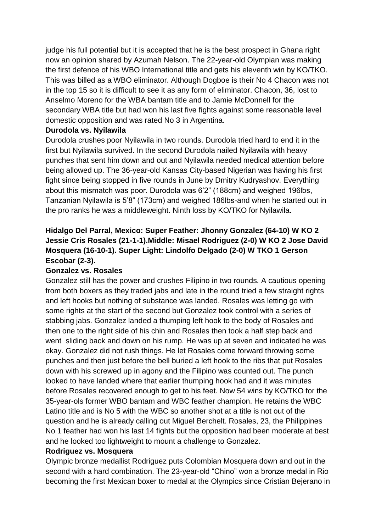judge his full potential but it is accepted that he is the best prospect in Ghana right now an opinion shared by Azumah Nelson. The 22-year-old Olympian was making the first defence of his WBO International title and gets his eleventh win by KO/TKO. This was billed as a WBO eliminator. Although Dogboe is their No 4 Chacon was not in the top 15 so it is difficult to see it as any form of eliminator. Chacon, 36, lost to Anselmo Moreno for the WBA bantam title and to Jamie McDonnell for the secondary WBA title but had won his last five fights against some reasonable level domestic opposition and was rated No 3 in Argentina.

#### **Durodola vs. Nyilawila**

Durodola crushes poor Nyilawila in two rounds. Durodola tried hard to end it in the first but Nyilawila survived. In the second Durodola nailed Nyilawila with heavy punches that sent him down and out and Nyilawila needed medical attention before being allowed up. The 36-year-old Kansas City-based Nigerian was having his first fight since being stopped in five rounds in June by Dmitry Kudryashov. Everything about this mismatch was poor. Durodola was 6'2" (188cm) and weighed 196lbs, Tanzanian Nyilawila is 5'8" (173cm) and weighed 186lbs-and when he started out in the pro ranks he was a middleweight. Ninth loss by KO/TKO for Nyilawila.

# **Hidalgo Del Parral, Mexico: Super Feather: Jhonny Gonzalez (64-10) W KO 2 Jessie Cris Rosales (21-1-1).Middle: Misael Rodriguez (2-0) W KO 2 Jose David Mosquera (16-10-1). Super Light: Lindolfo Delgado (2-0) W TKO 1 Gerson Escobar (2-3).**

## **Gonzalez vs. Rosales**

Gonzalez still has the power and crushes Filipino in two rounds. A cautious opening from both boxers as they traded jabs and late in the round tried a few straight rights and left hooks but nothing of substance was landed. Rosales was letting go with some rights at the start of the second but Gonzalez took control with a series of stabbing jabs. Gonzalez landed a thumping left hook to the body of Rosales and then one to the right side of his chin and Rosales then took a half step back and went sliding back and down on his rump. He was up at seven and indicated he was okay. Gonzalez did not rush things. He let Rosales come forward throwing some punches and then just before the bell buried a left hook to the ribs that put Rosales down with his screwed up in agony and the Filipino was counted out. The punch looked to have landed where that earlier thumping hook had and it was minutes before Rosales recovered enough to get to his feet. Now 54 wins by KO/TKO for the 35-year-ols former WBO bantam and WBC feather champion. He retains the WBC Latino title and is No 5 with the WBC so another shot at a title is not out of the question and he is already calling out Miguel Berchelt. Rosales, 23, the Philippines No 1 feather had won his last 14 fights but the opposition had been moderate at best and he looked too lightweight to mount a challenge to Gonzalez.

#### **Rodriguez vs. Mosquera**

Olympic bronze medallist Rodriguez puts Colombian Mosquera down and out in the second with a hard combination. The 23-year-old "Chino" won a bronze medal in Rio becoming the first Mexican boxer to medal at the Olympics since Cristian Bejerano in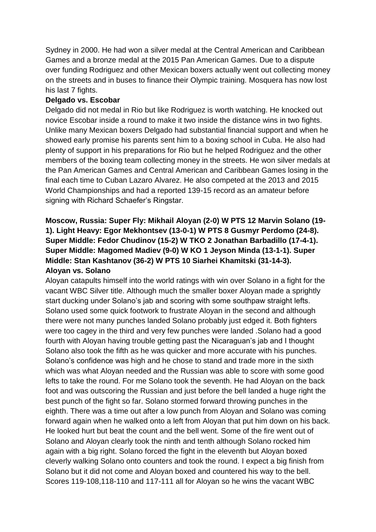Sydney in 2000. He had won a silver medal at the Central American and Caribbean Games and a bronze medal at the 2015 Pan American Games. Due to a dispute over funding Rodriguez and other Mexican boxers actually went out collecting money on the streets and in buses to finance their Olympic training. Mosquera has now lost his last 7 fights.

### **Delgado vs. Escobar**

Delgado did not medal in Rio but like Rodriguez is worth watching. He knocked out novice Escobar inside a round to make it two inside the distance wins in two fights. Unlike many Mexican boxers Delgado had substantial financial support and when he showed early promise his parents sent him to a boxing school in Cuba. He also had plenty of support in his preparations for Rio but he helped Rodriguez and the other members of the boxing team collecting money in the streets. He won silver medals at the Pan American Games and Central American and Caribbean Games losing in the final each time to Cuban Lazaro Alvarez. He also competed at the 2013 and 2015 World Championships and had a reported 139-15 record as an amateur before signing with Richard Schaefer's Ringstar.

# **Moscow, Russia: Super Fly: Mikhail Aloyan (2-0) W PTS 12 Marvin Solano (19- 1). Light Heavy: Egor Mekhontsev (13-0-1) W PTS 8 Gusmyr Perdomo (24-8). Super Middle: Fedor Chudinov (15-2) W TKO 2 Jonathan Barbadillo (17-4-1). Super Middle: Magomed Madiev (9-0) W KO 1 Jeyson Minda (13-1-1). Super Middle: Stan Kashtanov (36-2) W PTS 10 Siarhei Khamitski (31-14-3). Aloyan vs. Solano**

Aloyan catapults himself into the world ratings with win over Solano in a fight for the vacant WBC Silver title. Although much the smaller boxer Aloyan made a sprightly start ducking under Solano's jab and scoring with some southpaw straight lefts. Solano used some quick footwork to frustrate Aloyan in the second and although there were not many punches landed Solano probably just edged it. Both fighters were too cagey in the third and very few punches were landed .Solano had a good fourth with Aloyan having trouble getting past the Nicaraguan's jab and I thought Solano also took the fifth as he was quicker and more accurate with his punches. Solano's confidence was high and he chose to stand and trade more in the sixth which was what Aloyan needed and the Russian was able to score with some good lefts to take the round. For me Solano took the seventh. He had Aloyan on the back foot and was outscoring the Russian and just before the bell landed a huge right the best punch of the fight so far. Solano stormed forward throwing punches in the eighth. There was a time out after a low punch from Aloyan and Solano was coming forward again when he walked onto a left from Aloyan that put him down on his back. He looked hurt but beat the count and the bell went. Some of the fire went out of Solano and Aloyan clearly took the ninth and tenth although Solano rocked him again with a big right. Solano forced the fight in the eleventh but Aloyan boxed cleverly walking Solano onto counters and took the round. I expect a big finish from Solano but it did not come and Aloyan boxed and countered his way to the bell. Scores 119-108,118-110 and 117-111 all for Aloyan so he wins the vacant WBC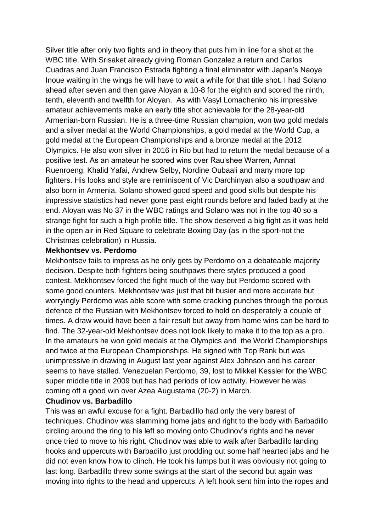Silver title after only two fights and in theory that puts him in line for a shot at the WBC title. With Srisaket already giving Roman Gonzalez a return and Carlos Cuadras and Juan Francisco Estrada fighting a final eliminator with Japan's Naoya Inoue waiting in the wings he will have to wait a while for that title shot. I had Solano ahead after seven and then gave Aloyan a 10-8 for the eighth and scored the ninth, tenth, eleventh and twelfth for Aloyan. As with Vasyl Lomachenko his impressive amateur achievements make an early title shot achievable for the 28-year-old Armenian-born Russian. He is a three-time Russian champion, won two gold medals and a silver medal at the World Championships, a gold medal at the World Cup, a gold medal at the European Championships and a bronze medal at the 2012 Olympics. He also won silver in 2016 in Rio but had to return the medal because of a positive test. As an amateur he scored wins over Rau'shee Warren, Amnat Ruenroeng, Khalid Yafai, Andrew Selby, Nordine Oubaali and many more top fighters. His looks and style are reminiscent of Vic Darchinyan also a southpaw and also born in Armenia. Solano showed good speed and good skills but despite his impressive statistics had never gone past eight rounds before and faded badly at the end. Aloyan was No 37 in the WBC ratings and Solano was not in the top 40 so a strange fight for such a high profile title. The show deserved a big fight as it was held in the open air in Red Square to celebrate Boxing Day (as in the sport-not the Christmas celebration) in Russia.

#### **Mekhontsev vs. Perdomo**

Mekhontsev fails to impress as he only gets by Perdomo on a debateable majority decision. Despite both fighters being southpaws there styles produced a good contest. Mekhontsev forced the fight much of the way but Perdomo scored with some good counters. Mekhontsev was just that bit busier and more accurate but worryingly Perdomo was able score with some cracking punches through the porous defence of the Russian with Mekhontsev forced to hold on desperately a couple of times. A draw would have been a fair result but away from home wins can be hard to find. The 32-year-old Mekhontsev does not look likely to make it to the top as a pro. In the amateurs he won gold medals at the Olympics and the World Championships and twice at the European Championships. He signed with Top Rank but was unimpressive in drawing in August last year against Alex Johnson and his career seems to have stalled. Venezuelan Perdomo, 39, lost to Mikkel Kessler for the WBC super middle title in 2009 but has had periods of low activity. However he was coming off a good win over Azea Augustama (20-2) in March.

### **Chudinov vs. Barbadillo**

This was an awful excuse for a fight. Barbadillo had only the very barest of techniques. Chudinov was slamming home jabs and right to the body with Barbadillo circling around the ring to his left so moving onto Chudinov's rights and he never once tried to move to his right. Chudinov was able to walk after Barbadillo landing hooks and uppercuts with Barbadillo just prodding out some half hearted jabs and he did not even know how to clinch. He took his lumps but it was obviously not going to last long. Barbadillo threw some swings at the start of the second but again was moving into rights to the head and uppercuts. A left hook sent him into the ropes and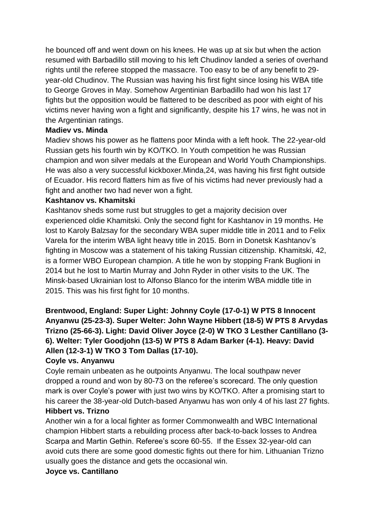he bounced off and went down on his knees. He was up at six but when the action resumed with Barbadillo still moving to his left Chudinov landed a series of overhand rights until the referee stopped the massacre. Too easy to be of any benefit to 29 year-old Chudinov. The Russian was having his first fight since losing his WBA title to George Groves in May. Somehow Argentinian Barbadillo had won his last 17 fights but the opposition would be flattered to be described as poor with eight of his victims never having won a fight and significantly, despite his 17 wins, he was not in the Argentinian ratings.

### **Madiev vs. Minda**

Madiev shows his power as he flattens poor Minda with a left hook. The 22-year-old Russian gets his fourth win by KO/TKO. In Youth competition he was Russian champion and won silver medals at the European and World Youth Championships. He was also a very successful kickboxer.Minda,24, was having his first fight outside of Ecuador. His record flatters him as five of his victims had never previously had a fight and another two had never won a fight.

#### **Kashtanov vs. Khamitski**

Kashtanov sheds some rust but struggles to get a majority decision over experienced oldie Khamitski. Only the second fight for Kashtanov in 19 months. He lost to Karoly Balzsay for the secondary WBA super middle title in 2011 and to Felix Varela for the interim WBA light heavy title in 2015. Born in Donetsk Kashtanov's fighting in Moscow was a statement of his taking Russian citizenship. Khamitski, 42, is a former WBO European champion. A title he won by stopping Frank Buglioni in 2014 but he lost to Martin Murray and John Ryder in other visits to the UK. The Minsk-based Ukrainian lost to Alfonso Blanco for the interim WBA middle title in 2015. This was his first fight for 10 months.

# **Brentwood, England: Super Light: Johnny Coyle (17-0-1) W PTS 8 Innocent Anyanwu (25-23-3). Super Welter: John Wayne Hibbert (18-5) W PTS 8 Arvydas Trizno (25-66-3). Light: David Oliver Joyce (2-0) W TKO 3 Lesther Cantillano (3- 6). Welter: Tyler Goodjohn (13-5) W PTS 8 Adam Barker (4-1). Heavy: David Allen (12-3-1) W TKO 3 Tom Dallas (17-10).**

#### **Coyle vs. Anyanwu**

Coyle remain unbeaten as he outpoints Anyanwu. The local southpaw never dropped a round and won by 80-73 on the referee's scorecard. The only question mark is over Coyle's power with just two wins by KO/TKO. After a promising start to his career the 38-year-old Dutch-based Anyanwu has won only 4 of his last 27 fights. **Hibbert vs. Trizno**

Another win a for a local fighter as former Commonwealth and WBC International champion Hibbert starts a rebuilding process after back-to-back losses to Andrea Scarpa and Martin Gethin. Referee's score 60-55. If the Essex 32-year-old can avoid cuts there are some good domestic fights out there for him. Lithuanian Trizno usually goes the distance and gets the occasional win.

#### **Joyce vs. Cantillano**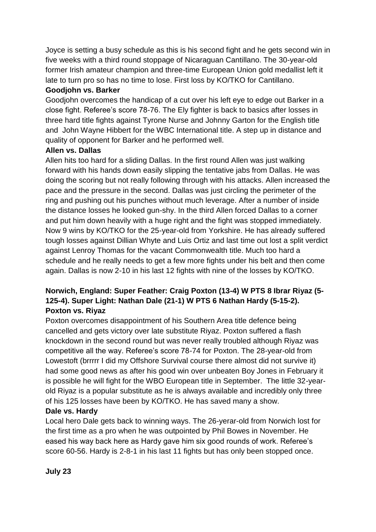Joyce is setting a busy schedule as this is his second fight and he gets second win in five weeks with a third round stoppage of Nicaraguan Cantillano. The 30-year-old former Irish amateur champion and three-time European Union gold medallist left it late to turn pro so has no time to lose. First loss by KO/TKO for Cantillano.

# **Goodjohn vs. Barker**

Goodjohn overcomes the handicap of a cut over his left eye to edge out Barker in a close fight. Referee's score 78-76. The Ely fighter is back to basics after losses in three hard title fights against Tyrone Nurse and Johnny Garton for the English title and John Wayne Hibbert for the WBC International title. A step up in distance and quality of opponent for Barker and he performed well.

# **Allen vs. Dallas**

Allen hits too hard for a sliding Dallas. In the first round Allen was just walking forward with his hands down easily slipping the tentative jabs from Dallas. He was doing the scoring but not really following through with his attacks. Allen increased the pace and the pressure in the second. Dallas was just circling the perimeter of the ring and pushing out his punches without much leverage. After a number of inside the distance losses he looked gun-shy. In the third Allen forced Dallas to a corner and put him down heavily with a huge right and the fight was stopped immediately. Now 9 wins by KO/TKO for the 25-year-old from Yorkshire. He has already suffered tough losses against Dillian Whyte and Luis Ortiz and last time out lost a split verdict against Lenroy Thomas for the vacant Commonwealth title. Much too hard a schedule and he really needs to get a few more fights under his belt and then come again. Dallas is now 2-10 in his last 12 fights with nine of the losses by KO/TKO.

# **Norwich, England: Super Feather: Craig Poxton (13-4) W PTS 8 Ibrar Riyaz (5- 125-4). Super Light: Nathan Dale (21-1) W PTS 6 Nathan Hardy (5-15-2). Poxton vs. Riyaz**

Poxton overcomes disappointment of his Southern Area title defence being cancelled and gets victory over late substitute Riyaz. Poxton suffered a flash knockdown in the second round but was never really troubled although Riyaz was competitive all the way. Referee's score 78-74 for Poxton. The 28-year-old from Lowestoft (brrrrr I did my Offshore Survival course there almost did not survive it) had some good news as after his good win over unbeaten Boy Jones in February it is possible he will fight for the WBO European title in September. The little 32-yearold Riyaz is a popular substitute as he is always available and incredibly only three of his 125 losses have been by KO/TKO. He has saved many a show.

## **Dale vs. Hardy**

Local hero Dale gets back to winning ways. The 26-yerar-old from Norwich lost for the first time as a pro when he was outpointed by Phil Bowes in November. He eased his way back here as Hardy gave him six good rounds of work. Referee's score 60-56. Hardy is 2-8-1 in his last 11 fights but has only been stopped once.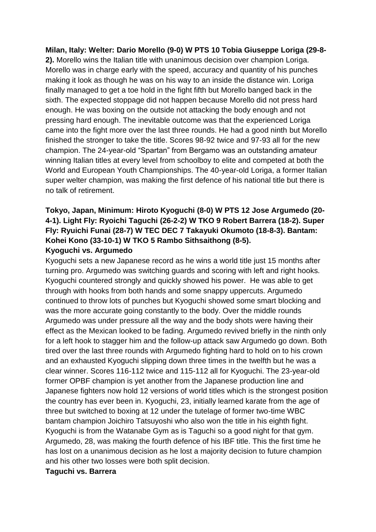### **Milan, Italy: Welter: Dario Morello (9-0) W PTS 10 Tobia Giuseppe Loriga (29-8-**

**2).** Morello wins the Italian title with unanimous decision over champion Loriga. Morello was in charge early with the speed, accuracy and quantity of his punches making it look as though he was on his way to an inside the distance win. Loriga finally managed to get a toe hold in the fight fifth but Morello banged back in the sixth. The expected stoppage did not happen because Morello did not press hard enough. He was boxing on the outside not attacking the body enough and not pressing hard enough. The inevitable outcome was that the experienced Loriga came into the fight more over the last three rounds. He had a good ninth but Morello finished the stronger to take the title. Scores 98-92 twice and 97-93 all for the new champion. The 24-year-old "Spartan" from Bergamo was an outstanding amateur winning Italian titles at every level from schoolboy to elite and competed at both the World and European Youth Championships. The 40-year-old Loriga, a former Italian super welter champion, was making the first defence of his national title but there is no talk of retirement.

# **Tokyo, Japan, Minimum: Hiroto Kyoguchi (8-0) W PTS 12 Jose Argumedo (20- 4-1). Light Fly: Ryoichi Taguchi (26-2-2) W TKO 9 Robert Barrera (18-2). Super Fly: Ryuichi Funai (28-7) W TEC DEC 7 Takayuki Okumoto (18-8-3). Bantam: Kohei Kono (33-10-1) W TKO 5 Rambo Sithsaithong (8-5).**

#### **Kyoguchi vs. Argumedo**

Kyoguchi sets a new Japanese record as he wins a world title just 15 months after turning pro. Argumedo was switching guards and scoring with left and right hooks. Kyoguchi countered strongly and quickly showed his power. He was able to get through with hooks from both hands and some snappy uppercuts. Argumedo continued to throw lots of punches but Kyoguchi showed some smart blocking and was the more accurate going constantly to the body. Over the middle rounds Argumedo was under pressure all the way and the body shots were having their effect as the Mexican looked to be fading. Argumedo revived briefly in the ninth only for a left hook to stagger him and the follow-up attack saw Argumedo go down. Both tired over the last three rounds with Argumedo fighting hard to hold on to his crown and an exhausted Kyoguchi slipping down three times in the twelfth but he was a clear winner. Scores 116-112 twice and 115-112 all for Kyoguchi. The 23-year-old former OPBF champion is yet another from the Japanese production line and Japanese fighters now hold 12 versions of world titles which is the strongest position the country has ever been in. Kyoguchi, 23, initially learned karate from the age of three but switched to boxing at 12 under the tutelage of former two-time WBC bantam champion Joichiro Tatsuyoshi who also won the title in his eighth fight. Kyoguchi is from the Watanabe Gym as is Taguchi so a good night for that gym. Argumedo, 28, was making the fourth defence of his IBF title. This the first time he has lost on a unanimous decision as he lost a majority decision to future champion and his other two losses were both split decision.

#### **Taguchi vs. Barrera**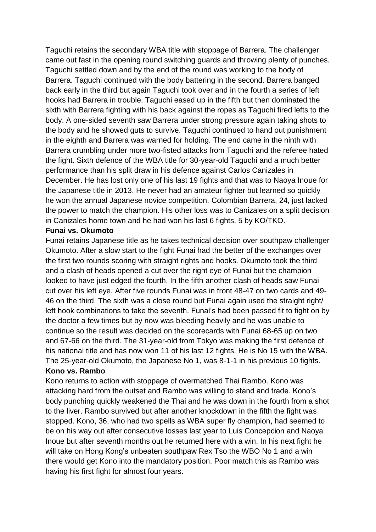Taguchi retains the secondary WBA title with stoppage of Barrera. The challenger came out fast in the opening round switching guards and throwing plenty of punches. Taguchi settled down and by the end of the round was working to the body of Barrera. Taguchi continued with the body battering in the second. Barrera banged back early in the third but again Taguchi took over and in the fourth a series of left hooks had Barrera in trouble. Taguchi eased up in the fifth but then dominated the sixth with Barrera fighting with his back against the ropes as Taguchi fired lefts to the body. A one-sided seventh saw Barrera under strong pressure again taking shots to the body and he showed guts to survive. Taguchi continued to hand out punishment in the eighth and Barrera was warned for holding. The end came in the ninth with Barrera crumbling under more two-fisted attacks from Taguchi and the referee hated the fight. Sixth defence of the WBA title for 30-year-old Taguchi and a much better performance than his split draw in his defence against Carlos Canizales in December. He has lost only one of his last 19 fights and that was to Naoya Inoue for the Japanese title in 2013. He never had an amateur fighter but learned so quickly he won the annual Japanese novice competition. Colombian Barrera, 24, just lacked the power to match the champion. His other loss was to Canizales on a split decision in Canizales home town and he had won his last 6 fights, 5 by KO/TKO.

#### **Funai vs. Okumoto**

Funai retains Japanese title as he takes technical decision over southpaw challenger Okumoto. After a slow start to the fight Funai had the better of the exchanges over the first two rounds scoring with straight rights and hooks. Okumoto took the third and a clash of heads opened a cut over the right eye of Funai but the champion looked to have just edged the fourth. In the fifth another clash of heads saw Funai cut over his left eye. After five rounds Funai was in front 48-47 on two cards and 49- 46 on the third. The sixth was a close round but Funai again used the straight right/ left hook combinations to take the seventh. Funai's had been passed fit to fight on by the doctor a few times but by now was bleeding heavily and he was unable to continue so the result was decided on the scorecards with Funai 68-65 up on two and 67-66 on the third. The 31-year-old from Tokyo was making the first defence of his national title and has now won 11 of his last 12 fights. He is No 15 with the WBA. The 25-year-old Okumoto, the Japanese No 1, was 8-1-1 in his previous 10 fights.

#### **Kono vs. Rambo**

Kono returns to action with stoppage of overmatched Thai Rambo. Kono was attacking hard from the outset and Rambo was willing to stand and trade. Kono's body punching quickly weakened the Thai and he was down in the fourth from a shot to the liver. Rambo survived but after another knockdown in the fifth the fight was stopped. Kono, 36, who had two spells as WBA super fly champion, had seemed to be on his way out after consecutive losses last year to Luis Concepcion and Naoya Inoue but after seventh months out he returned here with a win. In his next fight he will take on Hong Kong's unbeaten southpaw Rex Tso the WBO No 1 and a win there would get Kono into the mandatory position. Poor match this as Rambo was having his first fight for almost four years.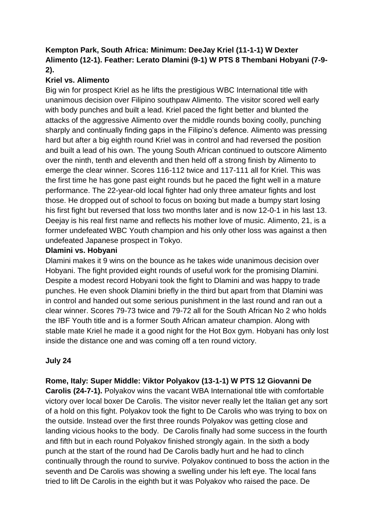# **Kempton Park, South Africa: Minimum: DeeJay Kriel (11-1-1) W Dexter Alimento (12-1). Feather: Lerato Dlamini (9-1) W PTS 8 Thembani Hobyani (7-9- 2).**

# **Kriel vs. Alimento**

Big win for prospect Kriel as he lifts the prestigious WBC International title with unanimous decision over Filipino southpaw Alimento. The visitor scored well early with body punches and built a lead. Kriel paced the fight better and blunted the attacks of the aggressive Alimento over the middle rounds boxing coolly, punching sharply and continually finding gaps in the Filipino's defence. Alimento was pressing hard but after a big eighth round Kriel was in control and had reversed the position and built a lead of his own. The young South African continued to outscore Alimento over the ninth, tenth and eleventh and then held off a strong finish by Alimento to emerge the clear winner. Scores 116-112 twice and 117-111 all for Kriel. This was the first time he has gone past eight rounds but he paced the fight well in a mature performance. The 22-year-old local fighter had only three amateur fights and lost those. He dropped out of school to focus on boxing but made a bumpy start losing his first fight but reversed that loss two months later and is now 12-0-1 in his last 13. Deejay is his real first name and reflects his mother love of music. Alimento, 21, is a former undefeated WBC Youth champion and his only other loss was against a then undefeated Japanese prospect in Tokyo.

## **Dlamini vs. Hobyani**

Dlamini makes it 9 wins on the bounce as he takes wide unanimous decision over Hobyani. The fight provided eight rounds of useful work for the promising Dlamini. Despite a modest record Hobyani took the fight to Dlamini and was happy to trade punches. He even shook Dlamini briefly in the third but apart from that Dlamini was in control and handed out some serious punishment in the last round and ran out a clear winner. Scores 79-73 twice and 79-72 all for the South African No 2 who holds the IBF Youth title and is a former South African amateur champion. Along with stable mate Kriel he made it a good night for the Hot Box gym. Hobyani has only lost inside the distance one and was coming off a ten round victory.

# **July 24**

# **Rome, Italy: Super Middle: Viktor Polyakov (13-1-1) W PTS 12 Giovanni De**

**Carolis (24-7-1).** Polyakov wins the vacant WBA International title with comfortable victory over local boxer De Carolis. The visitor never really let the Italian get any sort of a hold on this fight. Polyakov took the fight to De Carolis who was trying to box on the outside. Instead over the first three rounds Polyakov was getting close and landing vicious hooks to the body. De Carolis finally had some success in the fourth and fifth but in each round Polyakov finished strongly again. In the sixth a body punch at the start of the round had De Carolis badly hurt and he had to clinch continually through the round to survive. Polyakov continued to boss the action in the seventh and De Carolis was showing a swelling under his left eye. The local fans tried to lift De Carolis in the eighth but it was Polyakov who raised the pace. De